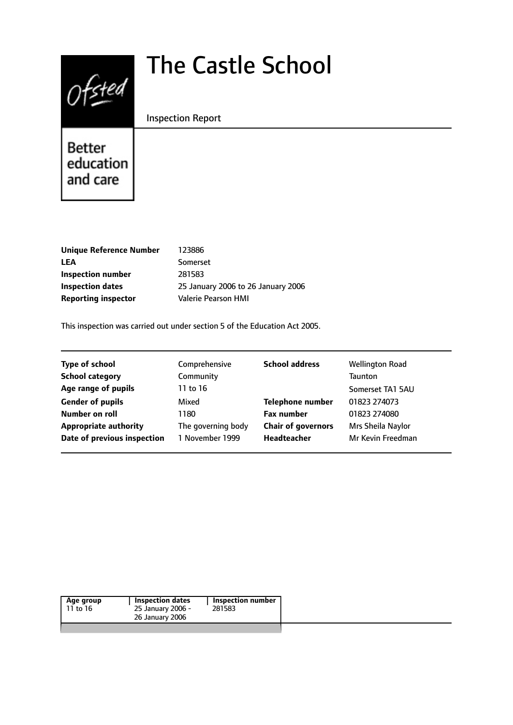# $0$ fsted

# The Castle School

#### Inspection Report

Better education and care

| Unique Reference Number    | 123886                             |
|----------------------------|------------------------------------|
| LEA                        | Somerset                           |
| Inspection number          | 281583                             |
| Inspection dates           | 25 January 2006 to 26 January 2006 |
| <b>Reporting inspector</b> | Valerie Pearson HMI                |
|                            |                                    |

This inspection was carried out under section 5 of the Education Act 2005.

| <b>Type of school</b>        | Comprehensive      | <b>School address</b>     | <b>Wellington Road</b> |
|------------------------------|--------------------|---------------------------|------------------------|
| <b>School category</b>       | Community          |                           | <b>Taunton</b>         |
| Age range of pupils          | 11 to 16           |                           | Somerset TA1 5AU       |
| <b>Gender of pupils</b>      | Mixed              | <b>Telephone number</b>   | 01823 274073           |
| Number on roll               | 1180               | <b>Fax number</b>         | 01823 274080           |
| <b>Appropriate authority</b> | The governing body | <b>Chair of governors</b> | Mrs Sheila Naylor      |
| Date of previous inspection  | 1 November 1999    | <b>Headteacher</b>        | Mr Kevin Freedman      |
|                              |                    |                           |                        |

| Age group<br>11 to 16 | <b>Inspection dates</b><br>25 January 2006 -<br>26 January 2006 | Inspection number<br>281583 |
|-----------------------|-----------------------------------------------------------------|-----------------------------|
|                       |                                                                 |                             |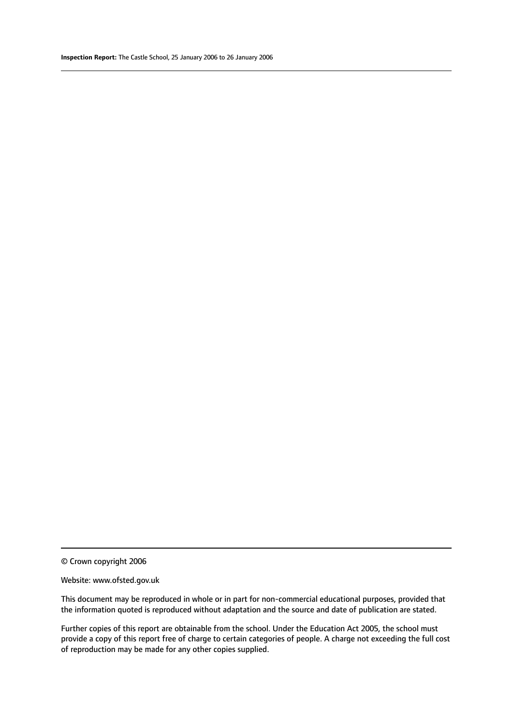© Crown copyright 2006

#### Website: www.ofsted.gov.uk

This document may be reproduced in whole or in part for non-commercial educational purposes, provided that the information quoted is reproduced without adaptation and the source and date of publication are stated.

Further copies of this report are obtainable from the school. Under the Education Act 2005, the school must provide a copy of this report free of charge to certain categories of people. A charge not exceeding the full cost of reproduction may be made for any other copies supplied.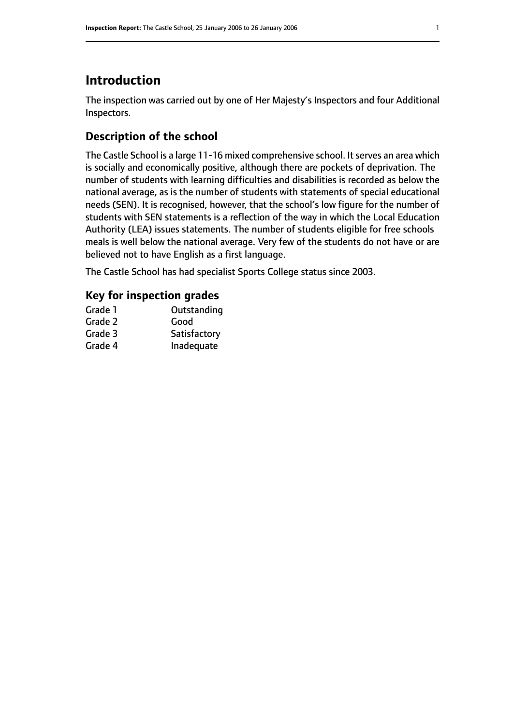# **Introduction**

The inspection was carried out by one of Her Majesty's Inspectors and four Additional Inspectors.

# **Description of the school**

The Castle School is a large 11-16 mixed comprehensive school. It serves an area which is socially and economically positive, although there are pockets of deprivation. The number of students with learning difficulties and disabilities is recorded as below the national average, as is the number of students with statements of special educational needs (SEN). It is recognised, however, that the school's low figure for the number of students with SEN statements is a reflection of the way in which the Local Education Authority (LEA) issues statements. The number of students eligible for free schools meals is well below the national average. Very few of the students do not have or are believed not to have English as a first language.

The Castle School has had specialist Sports College status since 2003.

#### **Key for inspection grades**

| Grade 1 | Outstanding  |
|---------|--------------|
| Grade 2 | Good         |
| Grade 3 | Satisfactory |
| Grade 4 | Inadequate   |
|         |              |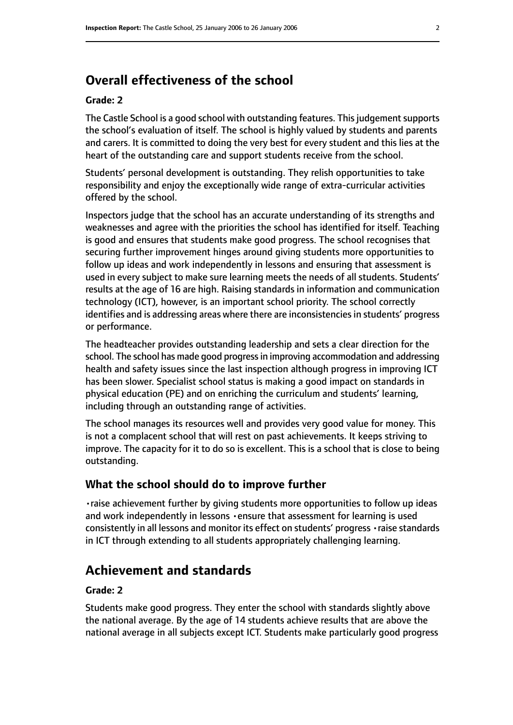# **Overall effectiveness of the school**

#### **Grade: 2**

The Castle School is a good school with outstanding features. This judgement supports the school's evaluation of itself. The school is highly valued by students and parents and carers. It is committed to doing the very best for every student and this lies at the heart of the outstanding care and support students receive from the school.

Students' personal development is outstanding. They relish opportunities to take responsibility and enjoy the exceptionally wide range of extra-curricular activities offered by the school.

Inspectors judge that the school has an accurate understanding of its strengths and weaknesses and agree with the priorities the school has identified for itself. Teaching is good and ensures that students make good progress. The school recognises that securing further improvement hinges around giving students more opportunities to follow up ideas and work independently in lessons and ensuring that assessment is used in every subject to make sure learning meets the needs of all students. Students' results at the age of 16 are high. Raising standards in information and communication technology (ICT), however, is an important school priority. The school correctly identifies and is addressing areas where there are inconsistencies in students' progress or performance.

The headteacher provides outstanding leadership and sets a clear direction for the school. The school has made good progressin improving accommodation and addressing health and safety issues since the last inspection although progress in improving ICT has been slower. Specialist school status is making a good impact on standards in physical education (PE) and on enriching the curriculum and students' learning, including through an outstanding range of activities.

The school manages its resources well and provides very good value for money. This is not a complacent school that will rest on past achievements. It keeps striving to improve. The capacity for it to do so is excellent. This is a school that is close to being outstanding.

#### **What the school should do to improve further**

•raise achievement further by giving students more opportunities to follow up ideas and work independently in lessons •ensure that assessment for learning is used consistently in all lessons and monitor its effect on students' progress •raise standards in ICT through extending to all students appropriately challenging learning.

# **Achievement and standards**

#### **Grade: 2**

Students make good progress. They enter the school with standards slightly above the national average. By the age of 14 students achieve results that are above the national average in all subjects except ICT. Students make particularly good progress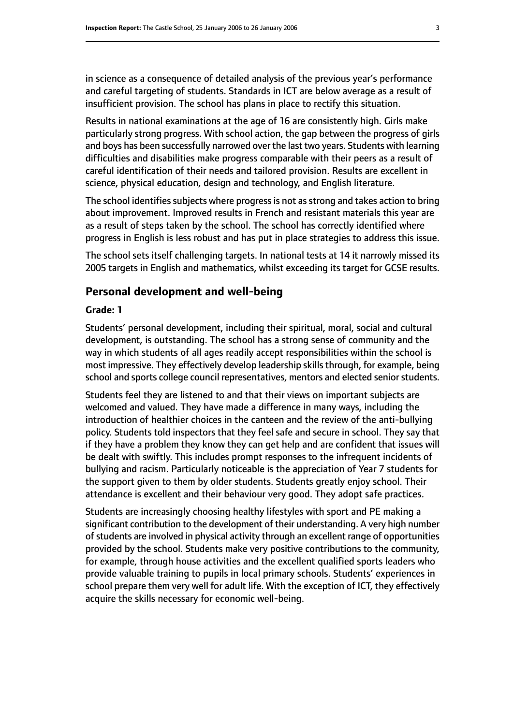in science as a consequence of detailed analysis of the previous year's performance and careful targeting of students. Standards in ICT are below average as a result of insufficient provision. The school has plans in place to rectify this situation.

Results in national examinations at the age of 16 are consistently high. Girls make particularly strong progress. With school action, the gap between the progress of girls and boys has been successfully narrowed over the last two years. Students with learning difficulties and disabilities make progress comparable with their peers as a result of careful identification of their needs and tailored provision. Results are excellent in science, physical education, design and technology, and English literature.

The school identifies subjects where progress is not as strong and takes action to bring about improvement. Improved results in French and resistant materials this year are as a result of steps taken by the school. The school has correctly identified where progress in English is less robust and has put in place strategies to address this issue.

The school sets itself challenging targets. In national tests at 14 it narrowly missed its 2005 targets in English and mathematics, whilst exceeding its target for GCSE results.

#### **Personal development and well-being**

#### **Grade: 1**

Students' personal development, including their spiritual, moral, social and cultural development, is outstanding. The school has a strong sense of community and the way in which students of all ages readily accept responsibilities within the school is most impressive. They effectively develop leadership skills through, for example, being school and sports college council representatives, mentors and elected senior students.

Students feel they are listened to and that their views on important subjects are welcomed and valued. They have made a difference in many ways, including the introduction of healthier choices in the canteen and the review of the anti-bullying policy. Students told inspectors that they feel safe and secure in school. They say that if they have a problem they know they can get help and are confident that issues will be dealt with swiftly. This includes prompt responses to the infrequent incidents of bullying and racism. Particularly noticeable is the appreciation of Year 7 students for the support given to them by older students. Students greatly enjoy school. Their attendance is excellent and their behaviour very good. They adopt safe practices.

Students are increasingly choosing healthy lifestyles with sport and PE making a significant contribution to the development of their understanding. A very high number of students are involved in physical activity through an excellent range of opportunities provided by the school. Students make very positive contributions to the community, for example, through house activities and the excellent qualified sports leaders who provide valuable training to pupils in local primary schools. Students' experiences in school prepare them very well for adult life. With the exception of ICT, they effectively acquire the skills necessary for economic well-being.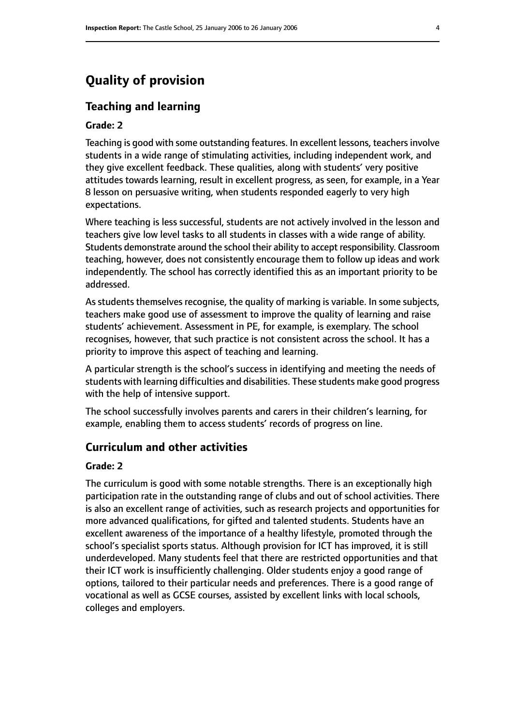# **Quality of provision**

#### **Teaching and learning**

#### **Grade: 2**

Teaching is good with some outstanding features. In excellent lessons, teachers involve students in a wide range of stimulating activities, including independent work, and they give excellent feedback. These qualities, along with students' very positive attitudes towards learning, result in excellent progress, as seen, for example, in a Year 8 lesson on persuasive writing, when students responded eagerly to very high expectations.

Where teaching is less successful, students are not actively involved in the lesson and teachers give low level tasks to all students in classes with a wide range of ability. Students demonstrate around the school their ability to accept responsibility. Classroom teaching, however, does not consistently encourage them to follow up ideas and work independently. The school has correctly identified this as an important priority to be addressed.

As students themselves recognise, the quality of marking is variable. In some subjects, teachers make good use of assessment to improve the quality of learning and raise students' achievement. Assessment in PE, for example, is exemplary. The school recognises, however, that such practice is not consistent across the school. It has a priority to improve this aspect of teaching and learning.

A particular strength is the school's success in identifying and meeting the needs of students with learning difficulties and disabilities. These students make good progress with the help of intensive support.

The school successfully involves parents and carers in their children's learning, for example, enabling them to access students' records of progress on line.

#### **Curriculum and other activities**

#### **Grade: 2**

The curriculum is good with some notable strengths. There is an exceptionally high participation rate in the outstanding range of clubs and out of school activities. There is also an excellent range of activities, such as research projects and opportunities for more advanced qualifications, for gifted and talented students. Students have an excellent awareness of the importance of a healthy lifestyle, promoted through the school's specialist sports status. Although provision for ICT has improved, it is still underdeveloped. Many students feel that there are restricted opportunities and that their ICT work is insufficiently challenging. Older students enjoy a good range of options, tailored to their particular needs and preferences. There is a good range of vocational as well as GCSE courses, assisted by excellent links with local schools, colleges and employers.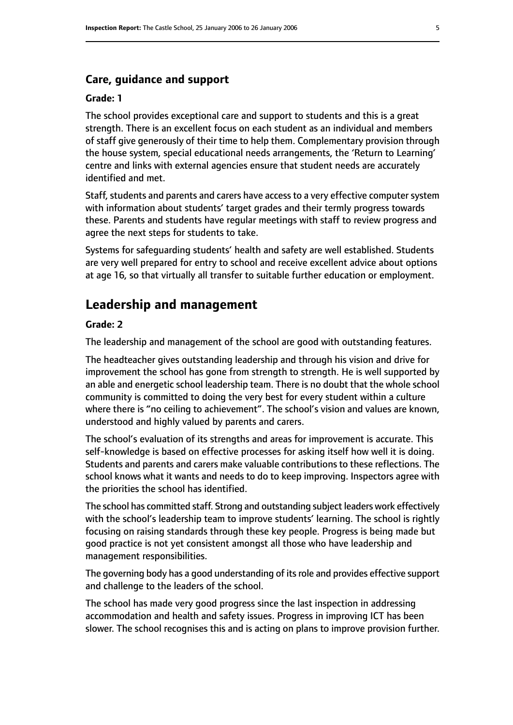#### **Care, guidance and support**

#### **Grade: 1**

The school provides exceptional care and support to students and this is a great strength. There is an excellent focus on each student as an individual and members of staff give generously of their time to help them. Complementary provision through the house system, special educational needs arrangements, the 'Return to Learning' centre and links with external agencies ensure that student needs are accurately identified and met.

Staff, students and parents and carers have access to a very effective computer system with information about students' target grades and their termly progress towards these. Parents and students have regular meetings with staff to review progress and agree the next steps for students to take.

Systems for safeguarding students' health and safety are well established. Students are very well prepared for entry to school and receive excellent advice about options at age 16, so that virtually all transfer to suitable further education or employment.

## **Leadership and management**

#### **Grade: 2**

The leadership and management of the school are good with outstanding features.

The headteacher gives outstanding leadership and through his vision and drive for improvement the school has gone from strength to strength. He is well supported by an able and energetic school leadership team. There is no doubt that the whole school community is committed to doing the very best for every student within a culture where there is "no ceiling to achievement". The school's vision and values are known, understood and highly valued by parents and carers.

The school's evaluation of its strengths and areas for improvement is accurate. This self-knowledge is based on effective processes for asking itself how well it is doing. Students and parents and carers make valuable contributions to these reflections. The school knows what it wants and needs to do to keep improving. Inspectors agree with the priorities the school has identified.

The school has committed staff. Strong and outstanding subject leaders work effectively with the school's leadership team to improve students' learning. The school is rightly focusing on raising standards through these key people. Progress is being made but good practice is not yet consistent amongst all those who have leadership and management responsibilities.

The governing body has a good understanding of itsrole and provides effective support and challenge to the leaders of the school.

The school has made very good progress since the last inspection in addressing accommodation and health and safety issues. Progress in improving ICT has been slower. The school recognises this and is acting on plans to improve provision further.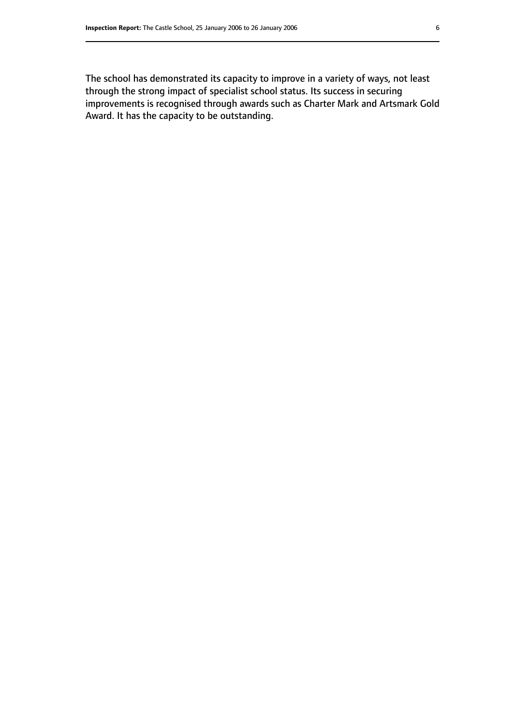The school has demonstrated its capacity to improve in a variety of ways, not least through the strong impact of specialist school status. Its success in securing improvements is recognised through awards such as Charter Mark and Artsmark Gold Award. It has the capacity to be outstanding.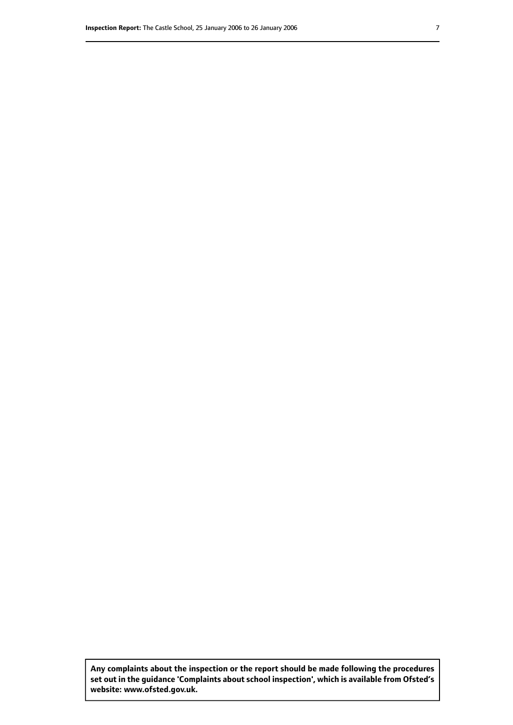**Any complaints about the inspection or the report should be made following the procedures set out inthe guidance 'Complaints about school inspection', whichis available from Ofsted's website: www.ofsted.gov.uk.**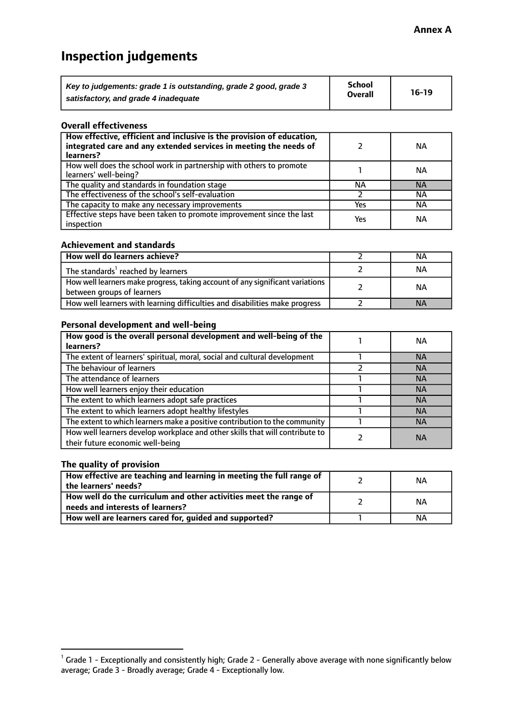# **Inspection judgements**

| Key to judgements: grade 1 is outstanding, grade 2 good, grade 3 | <b>School</b>  | $16-19$ |
|------------------------------------------------------------------|----------------|---------|
| satisfactory, and grade 4 inadequate                             | <b>Overall</b> |         |

#### **Overall effectiveness**

| How effective, efficient and inclusive is the provision of education,<br>integrated care and any extended services in meeting the needs of<br>learners? |     | <b>NA</b> |
|---------------------------------------------------------------------------------------------------------------------------------------------------------|-----|-----------|
| How well does the school work in partnership with others to promote<br>learners' well-being?                                                            |     | ΝA        |
| The quality and standards in foundation stage                                                                                                           | ΝA  | <b>NA</b> |
| The effectiveness of the school's self-evaluation                                                                                                       |     | ΝA        |
| The capacity to make any necessary improvements                                                                                                         | Yes | NА        |
| Effective steps have been taken to promote improvement since the last<br>inspection                                                                     | Yes | <b>NA</b> |

#### **Achievement and standards**

| How well do learners achieve?                                                                               | ΝA        |
|-------------------------------------------------------------------------------------------------------------|-----------|
| The standards <sup>1</sup> reached by learners                                                              | NА        |
| How well learners make progress, taking account of any significant variations<br>between groups of learners | <b>NA</b> |
| How well learners with learning difficulties and disabilities make progress                                 | <b>NA</b> |

#### **Personal development and well-being**

| How good is the overall personal development and well-being of the<br>learners?                                  | ΝA        |
|------------------------------------------------------------------------------------------------------------------|-----------|
| The extent of learners' spiritual, moral, social and cultural development                                        | <b>NA</b> |
| The behaviour of learners                                                                                        | <b>NA</b> |
| The attendance of learners                                                                                       | <b>NA</b> |
| How well learners enjoy their education                                                                          | <b>NA</b> |
| The extent to which learners adopt safe practices                                                                | <b>NA</b> |
| The extent to which learners adopt healthy lifestyles                                                            | <b>NA</b> |
| The extent to which learners make a positive contribution to the community                                       | <b>NA</b> |
| How well learners develop workplace and other skills that will contribute to<br>their future economic well-being | <b>NA</b> |

#### **The quality of provision**

| How effective are teaching and learning in meeting the full range of<br>the learners' needs?          | ΝA |
|-------------------------------------------------------------------------------------------------------|----|
| How well do the curriculum and other activities meet the range of<br>needs and interests of learners? | ΝA |
| How well are learners cared for, guided and supported?                                                | NА |

 $^1$  Grade 1 - Exceptionally and consistently high; Grade 2 - Generally above average with none significantly below average; Grade 3 - Broadly average; Grade 4 - Exceptionally low.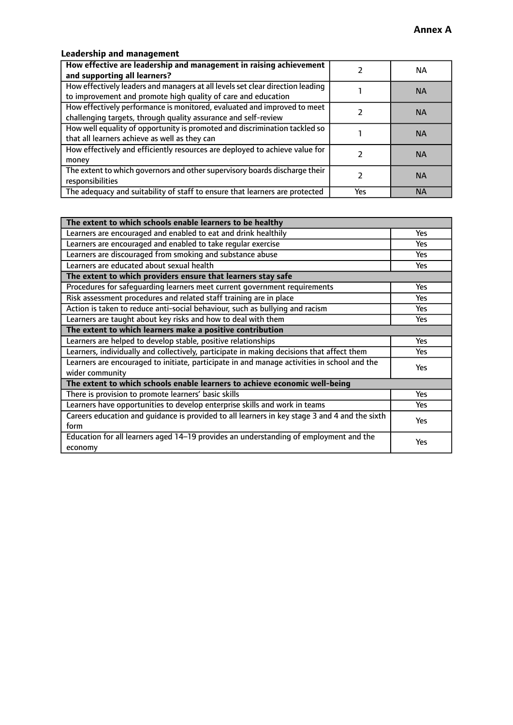## **Leadership and management**

| How effective are leadership and management in raising achievement<br>and supporting all learners?                                              |     | NA.       |
|-------------------------------------------------------------------------------------------------------------------------------------------------|-----|-----------|
| How effectively leaders and managers at all levels set clear direction leading<br>to improvement and promote high quality of care and education |     | <b>NA</b> |
| How effectively performance is monitored, evaluated and improved to meet<br>challenging targets, through quality assurance and self-review      |     | <b>NA</b> |
| How well equality of opportunity is promoted and discrimination tackled so<br>that all learners achieve as well as they can                     |     | <b>NA</b> |
| How effectively and efficiently resources are deployed to achieve value for<br>money                                                            |     | <b>NA</b> |
| The extent to which governors and other supervisory boards discharge their<br>responsibilities                                                  |     | <b>NA</b> |
| The adequacy and suitability of staff to ensure that learners are protected                                                                     | Yes | <b>NA</b> |

| The extent to which schools enable learners to be healthy                                     |            |
|-----------------------------------------------------------------------------------------------|------------|
| Learners are encouraged and enabled to eat and drink healthily                                | Yes        |
| Learners are encouraged and enabled to take regular exercise                                  | <b>Yes</b> |
| Learners are discouraged from smoking and substance abuse                                     | Yes        |
| Learners are educated about sexual health                                                     | Yes        |
| The extent to which providers ensure that learners stay safe                                  |            |
| Procedures for safequarding learners meet current government requirements                     | Yes        |
| Risk assessment procedures and related staff training are in place                            | Yes        |
| Action is taken to reduce anti-social behaviour, such as bullying and racism                  | <b>Yes</b> |
| Learners are taught about key risks and how to deal with them                                 | Yes        |
| The extent to which learners make a positive contribution                                     |            |
| Learners are helped to develop stable, positive relationships                                 | Yes        |
| Learners, individually and collectively, participate in making decisions that affect them     | Yes        |
| Learners are encouraged to initiate, participate in and manage activities in school and the   | <b>Yes</b> |
| wider community                                                                               |            |
| The extent to which schools enable learners to achieve economic well-being                    |            |
| There is provision to promote learners' basic skills                                          | Yes        |
| Learners have opportunities to develop enterprise skills and work in teams                    | Yes        |
| Careers education and quidance is provided to all learners in key stage 3 and 4 and the sixth | Yes        |
| form                                                                                          |            |
| Education for all learners aged 14-19 provides an understanding of employment and the         | <b>Yes</b> |
| economy                                                                                       |            |